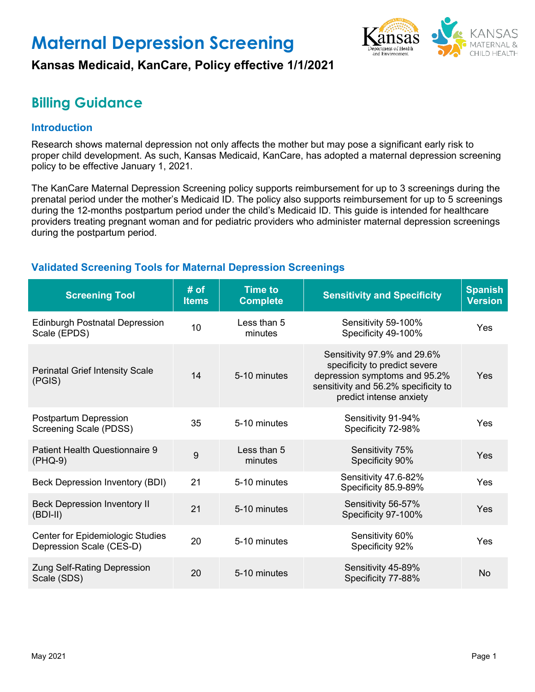# **Maternal Depression Screening**



## **Kansas Medicaid, KanCare, Policy effective 1/1/2021**

## **Billing Guidance**

## **Introduction**

Research shows maternal depression not only affects the mother but may pose a significant early risk to proper child development. As such, Kansas Medicaid, KanCare, has adopted a maternal depression screening policy to be effective January 1, 2021.

The KanCare Maternal Depression Screening policy supports reimbursement for up to 3 screenings during the prenatal period under the mother's Medicaid ID. The policy also supports reimbursement for up to 5 screenings during the 12-months postpartum period under the child's Medicaid ID. This guide is intended for healthcare providers treating pregnant woman and for pediatric providers who administer maternal depression screenings during the postpartum period.

## **Validated Screening Tools for Maternal Depression Screenings**

| <b>Screening Tool</b>                                        | # of<br><b>Items</b> | <b>Time to</b><br><b>Complete</b> | <b>Sensitivity and Specificity</b>                                                                                                                               | <b>Spanish</b><br><b>Version</b> |
|--------------------------------------------------------------|----------------------|-----------------------------------|------------------------------------------------------------------------------------------------------------------------------------------------------------------|----------------------------------|
| <b>Edinburgh Postnatal Depression</b><br>Scale (EPDS)        | 10                   | Less than 5<br>minutes            | Sensitivity 59-100%<br>Specificity 49-100%                                                                                                                       | Yes                              |
| <b>Perinatal Grief Intensity Scale</b><br>(PGIS)             | 14                   | 5-10 minutes                      | Sensitivity 97.9% and 29.6%<br>specificity to predict severe<br>depression symptoms and 95.2%<br>sensitivity and 56.2% specificity to<br>predict intense anxiety | Yes                              |
| Postpartum Depression<br>Screening Scale (PDSS)              | 35                   | 5-10 minutes                      | Sensitivity 91-94%<br>Specificity 72-98%                                                                                                                         | <b>Yes</b>                       |
| Patient Health Questionnaire 9<br>$(PHQ-9)$                  | 9                    | Less than 5<br>minutes            | Sensitivity 75%<br>Specificity 90%                                                                                                                               | Yes                              |
| Beck Depression Inventory (BDI)                              | 21                   | 5-10 minutes                      | Sensitivity 47.6-82%<br>Specificity 85.9-89%                                                                                                                     | <b>Yes</b>                       |
| <b>Beck Depression Inventory II</b><br>$(BDI-II)$            | 21                   | 5-10 minutes                      | Sensitivity 56-57%<br>Specificity 97-100%                                                                                                                        | Yes                              |
| Center for Epidemiologic Studies<br>Depression Scale (CES-D) | 20                   | 5-10 minutes                      | Sensitivity 60%<br>Specificity 92%                                                                                                                               | <b>Yes</b>                       |
| <b>Zung Self-Rating Depression</b><br>Scale (SDS)            | 20                   | 5-10 minutes                      | Sensitivity 45-89%<br>Specificity 77-88%                                                                                                                         | No                               |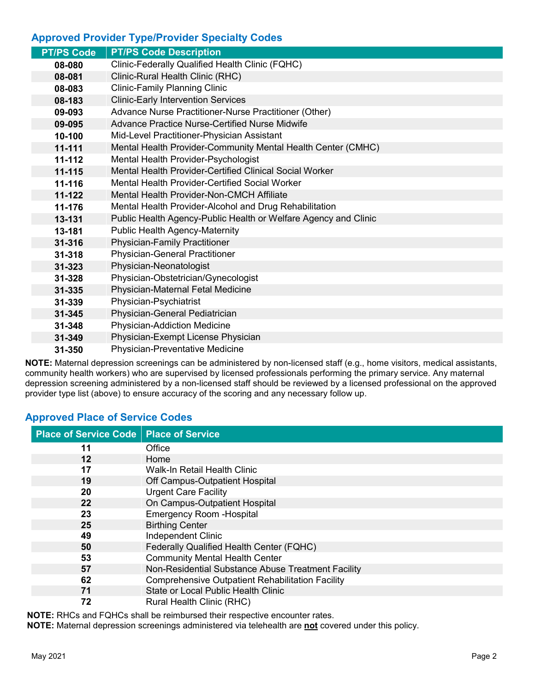## **Approved Provider Type/Provider Specialty Codes**

| <b>PT/PS Code Description</b>                                   |
|-----------------------------------------------------------------|
| Clinic-Federally Qualified Health Clinic (FQHC)                 |
| Clinic-Rural Health Clinic (RHC)                                |
| <b>Clinic-Family Planning Clinic</b>                            |
| <b>Clinic-Early Intervention Services</b>                       |
| Advance Nurse Practitioner-Nurse Practitioner (Other)           |
| <b>Advance Practice Nurse-Certified Nurse Midwife</b>           |
| Mid-Level Practitioner-Physician Assistant                      |
| Mental Health Provider-Community Mental Health Center (CMHC)    |
| Mental Health Provider-Psychologist                             |
| Mental Health Provider-Certified Clinical Social Worker         |
| Mental Health Provider-Certified Social Worker                  |
| Mental Health Provider-Non-CMCH Affiliate                       |
| Mental Health Provider-Alcohol and Drug Rehabilitation          |
| Public Health Agency-Public Health or Welfare Agency and Clinic |
| <b>Public Health Agency-Maternity</b>                           |
| <b>Physician-Family Practitioner</b>                            |
| <b>Physician-General Practitioner</b>                           |
| Physician-Neonatologist                                         |
| Physician-Obstetrician/Gynecologist                             |
| Physician-Maternal Fetal Medicine                               |
| Physician-Psychiatrist                                          |
| Physician-General Pediatrician                                  |
| Physician-Addiction Medicine                                    |
| Physician-Exempt License Physician                              |
| Physician-Preventative Medicine                                 |
|                                                                 |

**NOTE:** Maternal depression screenings can be administered by non-licensed staff (e.g., home visitors, medical assistants, community health workers) who are supervised by licensed professionals performing the primary service. Any maternal depression screening administered by a non-licensed staff should be reviewed by a licensed professional on the approved provider type list (above) to ensure accuracy of the scoring and any necessary follow up.

## **Approved Place of Service Codes**

| <b>Place of Service Code</b> | <b>Place of Service</b>                                 |
|------------------------------|---------------------------------------------------------|
| 11                           | Office                                                  |
| 12                           | Home                                                    |
| 17                           | Walk-In Retail Health Clinic                            |
| 19                           | Off Campus-Outpatient Hospital                          |
| 20                           | <b>Urgent Care Facility</b>                             |
| 22                           | On Campus-Outpatient Hospital                           |
| 23                           | <b>Emergency Room - Hospital</b>                        |
| 25                           | <b>Birthing Center</b>                                  |
| 49                           | <b>Independent Clinic</b>                               |
| 50                           | Federally Qualified Health Center (FQHC)                |
| 53                           | <b>Community Mental Health Center</b>                   |
| 57                           | Non-Residential Substance Abuse Treatment Facility      |
| 62                           | <b>Comprehensive Outpatient Rehabilitation Facility</b> |
| 71                           | <b>State or Local Public Health Clinic</b>              |
| 72                           | Rural Health Clinic (RHC)                               |

**NOTE:** RHCs and FQHCs shall be reimbursed their respective encounter rates.

**NOTE:** Maternal depression screenings administered via telehealth are **not** covered under this policy.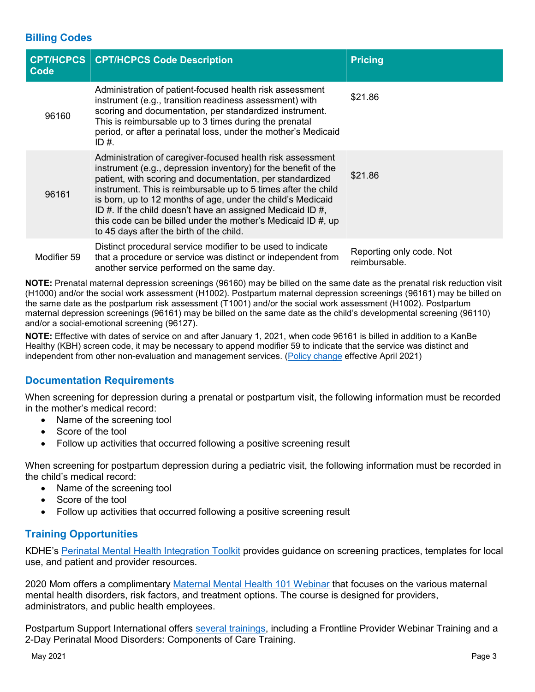### **Billing Codes**

| <b>CPT/HCPCS</b><br>Code | <b>CPT/HCPCS Code Description</b>                                                                                                                                                                                                                                                                                                                                                                                                                                                                          | <b>Pricing</b>                            |
|--------------------------|------------------------------------------------------------------------------------------------------------------------------------------------------------------------------------------------------------------------------------------------------------------------------------------------------------------------------------------------------------------------------------------------------------------------------------------------------------------------------------------------------------|-------------------------------------------|
| 96160                    | Administration of patient-focused health risk assessment<br>instrument (e.g., transition readiness assessment) with<br>scoring and documentation, per standardized instrument.<br>This is reimbursable up to 3 times during the prenatal<br>period, or after a perinatal loss, under the mother's Medicaid<br>ID #.                                                                                                                                                                                        | \$21.86                                   |
| 96161                    | Administration of caregiver-focused health risk assessment<br>instrument (e.g., depression inventory) for the benefit of the<br>patient, with scoring and documentation, per standardized<br>instrument. This is reimbursable up to 5 times after the child<br>is born, up to 12 months of age, under the child's Medicaid<br>ID #. If the child doesn't have an assigned Medicaid ID $#$ ,<br>this code can be billed under the mother's Medicaid ID $#$ , up<br>to 45 days after the birth of the child. | \$21.86                                   |
| Modifier 59              | Distinct procedural service modifier to be used to indicate<br>that a procedure or service was distinct or independent from<br>another service performed on the same day.                                                                                                                                                                                                                                                                                                                                  | Reporting only code. Not<br>reimbursable. |

**NOTE:** Prenatal maternal depression screenings (96160) may be billed on the same date as the prenatal risk reduction visit (H1000) and/or the social work assessment (H1002). Postpartum maternal depression screenings (96161) may be billed on the same date as the postpartum risk assessment (T1001) and/or the social work assessment (H1002). Postpartum maternal depression screenings (96161) may be billed on the same date as the child's developmental screening (96110) and/or a social-emotional screening (96127).

**NOTE:** Effective with dates of service on and after January 1, 2021, when code 96161 is billed in addition to a KanBe Healthy (KBH) screen code, it may be necessary to append modifier 59 to indicate that the service was distinct and independent from other non-evaluation and management services. [\(Policy change](https://www.kmap-state-ks.us/Documents/Content/Bulletins/21065%20-%20General%20-%20Modifier_59_Allowed_When_Billed_with_Maternal_Depression_Screening.pdf) effective April 2021)

## **Documentation Requirements**

When screening for depression during a prenatal or postpartum visit, the following information must be recorded in the mother's medical record:

- Name of the screening tool
- Score of the tool
- Follow up activities that occurred following a positive screening result

When screening for postpartum depression during a pediatric visit, the following information must be recorded in the child's medical record:

- Name of the screening tool
- Score of the tool
- Follow up activities that occurred following a positive screening result

#### **Training Opportunities**

KDHE's [Perinatal Mental Health Integration Toolkit](https://www.kdheks.gov/c-f/mental_health_integration.htm) provides guidance on screening practices, templates for local use, and patient and provider resources.

2020 Mom offers a complimentary [Maternal Mental Health 101 Webinar](https://www.2020mom.org/free-intro-to-mmh) that focuses on the various maternal mental health disorders, risk factors, and treatment options. The course is designed for providers, administrators, and public health employees.

Postpartum Support International offers [several trainings,](https://www.postpartum.net/professionals/trainings-events/) including a Frontline Provider Webinar Training and a 2-Day Perinatal Mood Disorders: Components of Care Training.